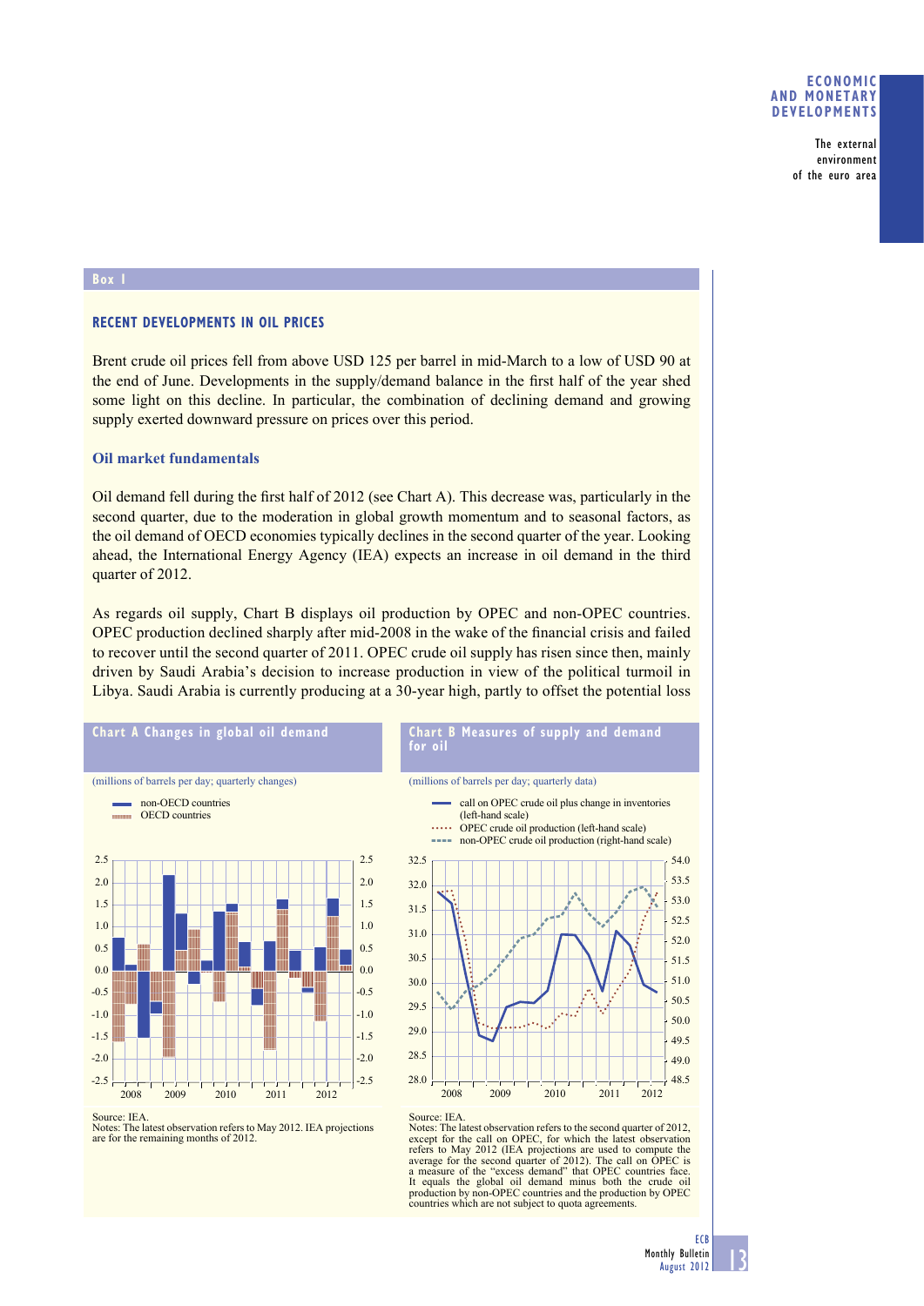### **ECONOMIC AND MONETARY DEVELOPMENTS**

The external environment of the euro area

#### **Box 1**

## **RECENT DEVELOPMENTS IN OIL PRICES**

Brent crude oil prices fell from above USD 125 per barrel in mid-March to a low of USD 90 at the end of June. Developments in the supply/demand balance in the first half of the year shed some light on this decline. In particular, the combination of declining demand and growing supply exerted downward pressure on prices over this period.

## **Oil market fundamentals**

Oil demand fell during the first half of 2012 (see Chart A). This decrease was, particularly in the second quarter, due to the moderation in global growth momentum and to seasonal factors, as the oil demand of OECD economies typically declines in the second quarter of the year. Looking ahead, the International Energy Agency (IEA) expects an increase in oil demand in the third quarter of 2012.

As regards oil supply, Chart B displays oil production by OPEC and non-OPEC countries. OPEC production declined sharply after mid-2008 in the wake of the financial crisis and failed to recover until the second quarter of 2011. OPEC crude oil supply has risen since then, mainly driven by Saudi Arabia's decision to increase production in view of the political turmoil in Libya. Saudi Arabia is currently producing at a 30-year high, partly to offset the potential loss

**for oil**

32.0 32.5



Notes: The latest observation refers to May 2012. IEA projections are for the remaining months of 2012.

48.5 49.0 49.5 50.0 50.5 51.0 51.5 52.0 52.5 53.0 28.0 2008 2009 2010 2011 2012 28.5 29.0 29.5 30.0 30.5 31.0 31.5

**Chart B Measures of supply and demand** 

call on OPEC crude oil plus change in inventories

OPEC crude oil production (left-hand scale) non-OPEC crude oil production (right-hand scale)

(millions of barrels per day; quarterly data)

(left-hand scale)

Source: IEA. Notes: The latest observation refers to the second quarter of 2012, except for the call on OPEC, for which the latest observation refers to May 2012 (IEA projections are used to compute the average for the second quarter of 2012). The call on OPEC is a measure of the "excess demand" that OPEC countries face. It equals the global oil demand minus both the crude oil production by non-OPEC countries and the production by OPEC countries which are not subject to quota agreements.

53.5 54.0

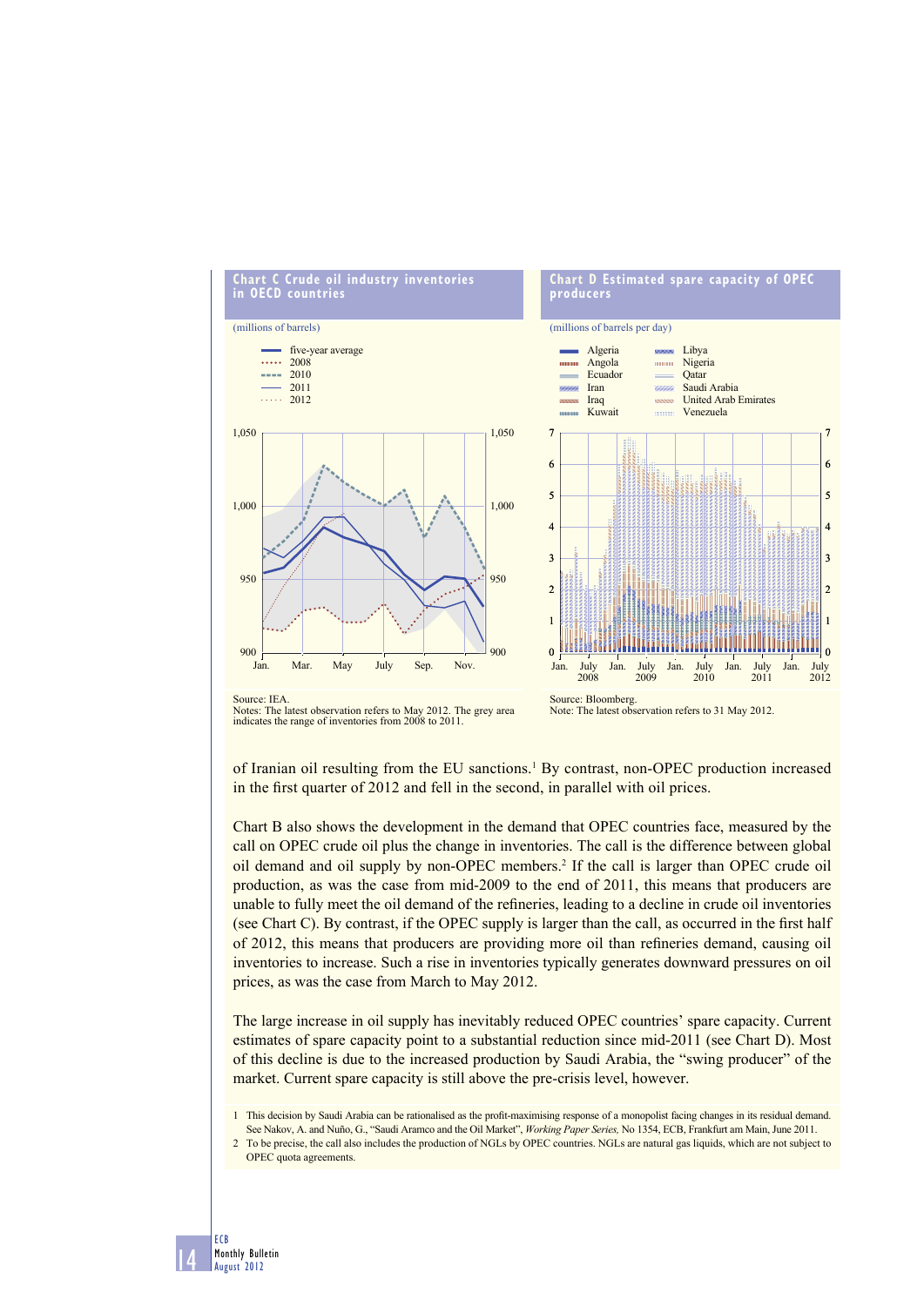

of Iranian oil resulting from the EU sanctions.<sup>1</sup> By contrast, non-OPEC production increased in the first quarter of 2012 and fell in the second, in parallel with oil prices.

Chart B also shows the development in the demand that OPEC countries face, measured by the call on OPEC crude oil plus the change in inventories. The call is the difference between global oil demand and oil supply by non-OPEC members.2 If the call is larger than OPEC crude oil production, as was the case from mid-2009 to the end of 2011, this means that producers are unable to fully meet the oil demand of the refineries, leading to a decline in crude oil inventories (see Chart C). By contrast, if the OPEC supply is larger than the call, as occurred in the first half of 2012, this means that producers are providing more oil than refineries demand, causing oil inventories to increase. Such a rise in inventories typically generates downward pressures on oil prices, as was the case from March to May 2012.

The large increase in oil supply has inevitably reduced OPEC countries' spare capacity. Current estimates of spare capacity point to a substantial reduction since mid-2011 (see Chart D). Most of this decline is due to the increased production by Saudi Arabia, the "swing producer" of the market. Current spare capacity is still above the pre-crisis level, however.

- 1 This decision by Saudi Arabia can be rationalised as the profit-maximising response of a monopolist facing changes in its residual demand. See Nakov, A. and Nuño, G., "Saudi Aramco and the Oil Market", *Working Paper Series,* No 1354, ECB, Frankfurt am Main, June 2011.
- 2 To be precise, the call also includes the production of NGLs by OPEC countries. NGLs are natural gas liquids, which are not subject to OPEC quota agreements.

14

ECB Monthly Bulletin August 2012